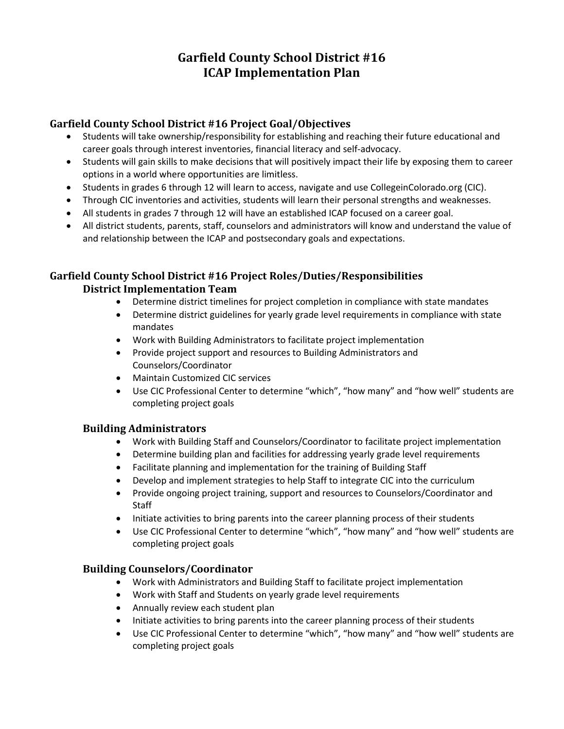# **Garfield County School District #16 ICAP Implementation Plan**

## **Garfield County School District #16 Project Goal/Objectives**

- Students will take ownership/responsibility for establishing and reaching their future educational and career goals through interest inventories, financial literacy and self-advocacy.
- Students will gain skills to make decisions that will positively impact their life by exposing them to career options in a world where opportunities are limitless.
- Students in grades 6 through 12 will learn to access, navigate and use CollegeinColorado.org (CIC).
- Through CIC inventories and activities, students will learn their personal strengths and weaknesses.
- All students in grades 7 through 12 will have an established ICAP focused on a career goal.
- All district students, parents, staff, counselors and administrators will know and understand the value of and relationship between the ICAP and postsecondary goals and expectations.

#### **Garfield County School District #16 Project Roles/Duties/Responsibilities District Implementation Team**

- Determine district timelines for project completion in compliance with state mandates
- Determine district guidelines for yearly grade level requirements in compliance with state mandates
- Work with Building Administrators to facilitate project implementation
- Provide project support and resources to Building Administrators and Counselors/Coordinator
- Maintain Customized CIC services
- Use CIC Professional Center to determine "which", "how many" and "how well" students are completing project goals

#### **Building Administrators**

- Work with Building Staff and Counselors/Coordinator to facilitate project implementation
- Determine building plan and facilities for addressing yearly grade level requirements
- Facilitate planning and implementation for the training of Building Staff
- Develop and implement strategies to help Staff to integrate CIC into the curriculum
- Provide ongoing project training, support and resources to Counselors/Coordinator and **Staff**
- Initiate activities to bring parents into the career planning process of their students
- Use CIC Professional Center to determine "which", "how many" and "how well" students are completing project goals

#### **Building Counselors/Coordinator**

- Work with Administrators and Building Staff to facilitate project implementation
- Work with Staff and Students on yearly grade level requirements
- Annually review each student plan
- Initiate activities to bring parents into the career planning process of their students
- Use CIC Professional Center to determine "which", "how many" and "how well" students are completing project goals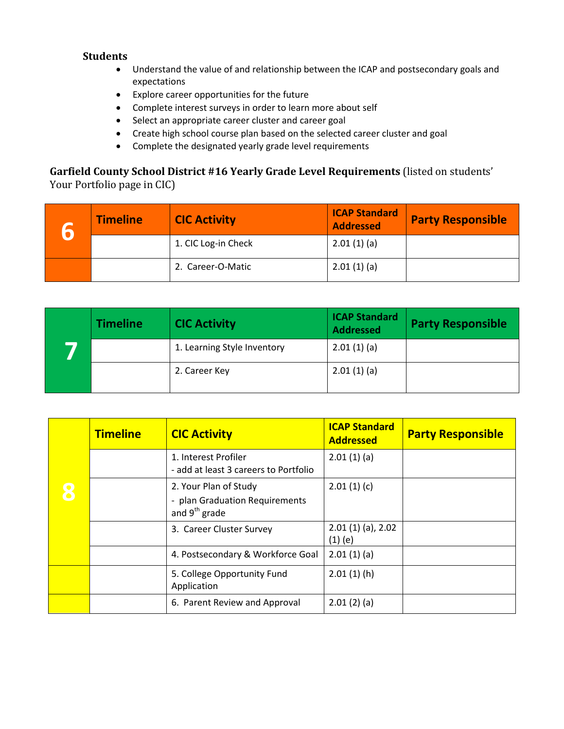#### **Students**

- Understand the value of and relationship between the ICAP and postsecondary goals and expectations
- Explore career opportunities for the future
- Complete interest surveys in order to learn more about self
- Select an appropriate career cluster and career goal
- Create high school course plan based on the selected career cluster and goal
- Complete the designated yearly grade level requirements

## **Garfield County School District #16 Yearly Grade Level Requirements** (listed on students' Your Portfolio page in CIC)

| <b>Timeline</b> | <b>CIC Activity</b> | <b>ICAP Standard</b><br><b>Addressed</b> | <b>Party Responsible</b> |
|-----------------|---------------------|------------------------------------------|--------------------------|
|                 | 1. CIC Log-in Check | 2.01(1)(a)                               |                          |
|                 | 2. Career-O-Matic   | 2.01(1)(a)                               |                          |

| <b>Timeline</b> | <b>CIC Activity</b>         | <b>ICAP Standard</b><br><b>Addressed</b> | <b>Party Responsible</b> |
|-----------------|-----------------------------|------------------------------------------|--------------------------|
|                 | 1. Learning Style Inventory | 2.01(1)(a)                               |                          |
|                 | 2. Career Key               | 2.01(1)(a)                               |                          |

| <b>Timeline</b> | <b>CIC Activity</b>                                                                  | <b>ICAP Standard</b><br><b>Addressed</b> | <b>Party Responsible</b> |
|-----------------|--------------------------------------------------------------------------------------|------------------------------------------|--------------------------|
|                 | 1. Interest Profiler<br>- add at least 3 careers to Portfolio                        | 2.01(1)(a)                               |                          |
|                 | 2. Your Plan of Study<br>- plan Graduation Requirements<br>and 9 <sup>th</sup> grade | 2.01(1)(c)                               |                          |
|                 | 3. Career Cluster Survey                                                             | $2.01(1)(a)$ , 2.02<br>$(1)$ (e)         |                          |
|                 | 4. Postsecondary & Workforce Goal                                                    | 2.01(1)(a)                               |                          |
|                 | 5. College Opportunity Fund<br>Application                                           | 2.01(1)(h)                               |                          |
|                 | 6. Parent Review and Approval                                                        | 2.01(2)(a)                               |                          |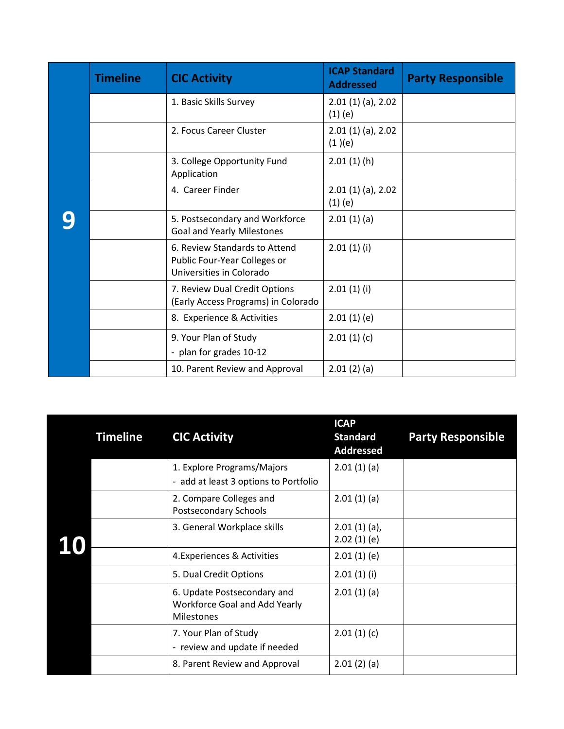| <b>Timeline</b> | <b>CIC Activity</b>                                                                       | <b>ICAP Standard</b><br><b>Addressed</b> | <b>Party Responsible</b> |
|-----------------|-------------------------------------------------------------------------------------------|------------------------------------------|--------------------------|
|                 | 1. Basic Skills Survey                                                                    | $2.01(1)(a)$ , 2.02<br>$(1)$ (e)         |                          |
|                 | 2. Focus Career Cluster                                                                   | $2.01(1)(a)$ , 2.02<br>(1)(e)            |                          |
|                 | 3. College Opportunity Fund<br>Application                                                | 2.01(1)(h)                               |                          |
|                 | 4. Career Finder                                                                          | $2.01(1)(a)$ , 2.02<br>$(1)$ (e)         |                          |
|                 | 5. Postsecondary and Workforce<br><b>Goal and Yearly Milestones</b>                       | 2.01(1)(a)                               |                          |
|                 | 6. Review Standards to Attend<br>Public Four-Year Colleges or<br>Universities in Colorado | 2.01(1)(i)                               |                          |
|                 | 7. Review Dual Credit Options<br>(Early Access Programs) in Colorado                      | 2.01(1)(i)                               |                          |
|                 | 8. Experience & Activities                                                                | 2.01(1)(e)                               |                          |
|                 | 9. Your Plan of Study<br>- plan for grades 10-12                                          | 2.01(1)(c)                               |                          |
|                 | 10. Parent Review and Approval                                                            | 2.01(2)(a)                               |                          |

| <b>Timeline</b> | <b>CIC Activity</b>                                                               | <b>ICAP</b><br><b>Standard</b><br><b>Addressed</b> | <b>Party Responsible</b> |
|-----------------|-----------------------------------------------------------------------------------|----------------------------------------------------|--------------------------|
|                 | 1. Explore Programs/Majors<br>- add at least 3 options to Portfolio               | 2.01(1)(a)                                         |                          |
|                 | 2. Compare Colleges and<br>Postsecondary Schools                                  | 2.01(1)(a)                                         |                          |
|                 | 3. General Workplace skills                                                       | $2.01(1)(a)$ ,<br>2.02(1)(e)                       |                          |
|                 | 4. Experiences & Activities                                                       | 2.01(1)(e)                                         |                          |
|                 | 5. Dual Credit Options                                                            | 2.01(1)(i)                                         |                          |
|                 | 6. Update Postsecondary and<br>Workforce Goal and Add Yearly<br><b>Milestones</b> | 2.01(1)(a)                                         |                          |
|                 | 7. Your Plan of Study<br>- review and update if needed                            | 2.01(1)(c)                                         |                          |
|                 | 8. Parent Review and Approval                                                     | 2.01(2)(a)                                         |                          |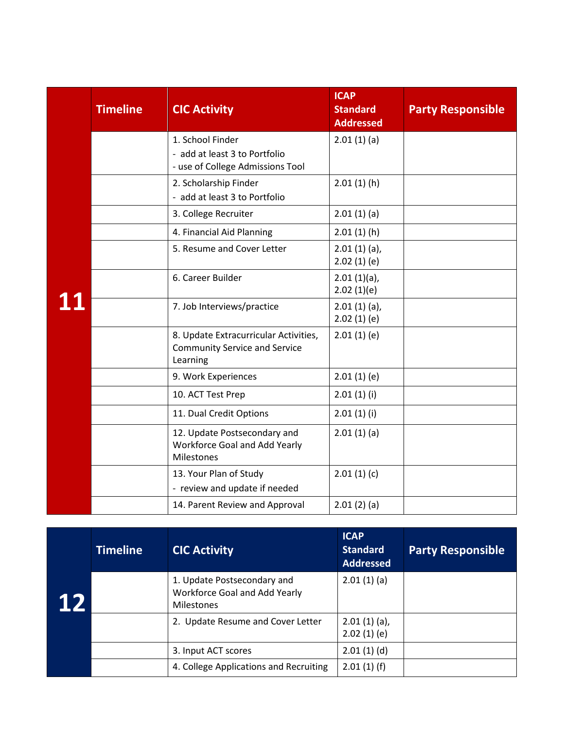|    | <b>Timeline</b> | <b>CIC Activity</b>                                                                       | <b>ICAP</b><br><b>Standard</b><br><b>Addressed</b> | <b>Party Responsible</b> |
|----|-----------------|-------------------------------------------------------------------------------------------|----------------------------------------------------|--------------------------|
|    |                 | 1. School Finder<br>- add at least 3 to Portfolio<br>- use of College Admissions Tool     | 2.01(1)(a)                                         |                          |
|    |                 | 2. Scholarship Finder<br>- add at least 3 to Portfolio                                    | 2.01(1)(h)                                         |                          |
|    |                 | 3. College Recruiter                                                                      | 2.01(1)(a)                                         |                          |
|    |                 | 4. Financial Aid Planning                                                                 | 2.01(1)(h)                                         |                          |
|    |                 | 5. Resume and Cover Letter                                                                | $2.01(1)(a)$ ,<br>2.02(1)(e)                       |                          |
|    |                 | 6. Career Builder                                                                         | $2.01(1)(a)$ ,<br>2.02(1)(e)                       |                          |
| 11 |                 | 7. Job Interviews/practice                                                                | $2.01(1)(a)$ ,<br>2.02(1)(e)                       |                          |
|    |                 | 8. Update Extracurricular Activities,<br><b>Community Service and Service</b><br>Learning | 2.01(1)(e)                                         |                          |
|    |                 | 9. Work Experiences                                                                       | 2.01(1)(e)                                         |                          |
|    |                 | 10. ACT Test Prep                                                                         | 2.01(1)(i)                                         |                          |
|    |                 | 11. Dual Credit Options                                                                   | 2.01(1)(i)                                         |                          |
|    |                 | 12. Update Postsecondary and<br>Workforce Goal and Add Yearly<br><b>Milestones</b>        | 2.01(1)(a)                                         |                          |
|    |                 | 13. Your Plan of Study<br>- review and update if needed                                   | 2.01(1)(c)                                         |                          |
|    |                 | 14. Parent Review and Approval                                                            | 2.01(2)(a)                                         |                          |

|    | <b>Timeline</b> | <b>CIC Activity</b>                                                               | <b>ICAP</b><br><b>Standard</b><br><b>Addressed</b> | <b>Party Responsible</b> |
|----|-----------------|-----------------------------------------------------------------------------------|----------------------------------------------------|--------------------------|
| 12 |                 | 1. Update Postsecondary and<br>Workforce Goal and Add Yearly<br><b>Milestones</b> | 2.01(1)(a)                                         |                          |
|    |                 | 2. Update Resume and Cover Letter                                                 | $2.01(1)(a)$ ,<br>2.02(1)(e)                       |                          |
|    |                 | 3. Input ACT scores                                                               | 2.01(1)(d)                                         |                          |
|    |                 | 4. College Applications and Recruiting                                            | 2.01(1)(f)                                         |                          |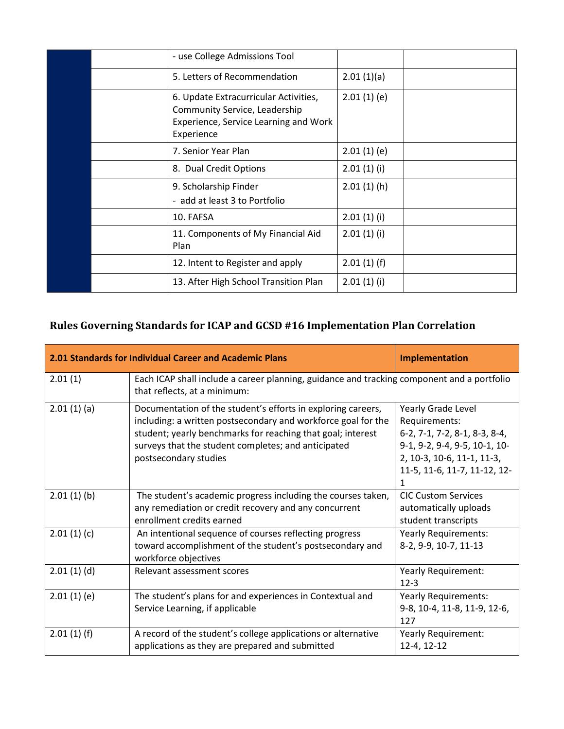|  | - use College Admissions Tool                                                                                                 |            |  |
|--|-------------------------------------------------------------------------------------------------------------------------------|------------|--|
|  | 5. Letters of Recommendation                                                                                                  | 2.01(1)(a) |  |
|  | 6. Update Extracurricular Activities,<br>Community Service, Leadership<br>Experience, Service Learning and Work<br>Experience | 2.01(1)(e) |  |
|  | 7. Senior Year Plan                                                                                                           | 2.01(1)(e) |  |
|  | 8. Dual Credit Options                                                                                                        | 2.01(1)(i) |  |
|  | 9. Scholarship Finder<br>- add at least 3 to Portfolio                                                                        | 2.01(1)(h) |  |
|  | 10. FAFSA                                                                                                                     | 2.01(1)(i) |  |
|  | 11. Components of My Financial Aid<br>Plan                                                                                    | 2.01(1)(i) |  |
|  | 12. Intent to Register and apply                                                                                              | 2.01(1)(f) |  |
|  | 13. After High School Transition Plan                                                                                         | 2.01(1)(i) |  |

# **Rules Governing Standards for ICAP and GCSD #16 Implementation Plan Correlation**

| 2.01 Standards for Individual Career and Academic Plans | Implementation                                                                                                                                                                                                                                                               |                                                                                                                                                                          |  |  |  |
|---------------------------------------------------------|------------------------------------------------------------------------------------------------------------------------------------------------------------------------------------------------------------------------------------------------------------------------------|--------------------------------------------------------------------------------------------------------------------------------------------------------------------------|--|--|--|
| 2.01(1)                                                 | Each ICAP shall include a career planning, guidance and tracking component and a portfolio<br>that reflects, at a minimum:                                                                                                                                                   |                                                                                                                                                                          |  |  |  |
| 2.01(1)(a)                                              | Documentation of the student's efforts in exploring careers,<br>including: a written postsecondary and workforce goal for the<br>student; yearly benchmarks for reaching that goal; interest<br>surveys that the student completes; and anticipated<br>postsecondary studies | Yearly Grade Level<br>Requirements:<br>6-2, 7-1, 7-2, 8-1, 8-3, 8-4,<br>9-1, 9-2, 9-4, 9-5, 10-1, 10-<br>2, 10-3, 10-6, 11-1, 11-3,<br>11-5, 11-6, 11-7, 11-12, 12-<br>1 |  |  |  |
| 2.01(1)(b)                                              | The student's academic progress including the courses taken,<br>any remediation or credit recovery and any concurrent<br>enrollment credits earned                                                                                                                           | <b>CIC Custom Services</b><br>automatically uploads<br>student transcripts                                                                                               |  |  |  |
| 2.01(1)(c)                                              | An intentional sequence of courses reflecting progress<br>toward accomplishment of the student's postsecondary and<br>workforce objectives                                                                                                                                   | Yearly Requirements:<br>8-2, 9-9, 10-7, 11-13                                                                                                                            |  |  |  |
| 2.01(1)(d)                                              | Relevant assessment scores                                                                                                                                                                                                                                                   | Yearly Requirement:<br>$12-3$                                                                                                                                            |  |  |  |
| 2.01(1)(e)                                              | The student's plans for and experiences in Contextual and<br>Service Learning, if applicable                                                                                                                                                                                 | <b>Yearly Requirements:</b><br>9-8, 10-4, 11-8, 11-9, 12-6,<br>127                                                                                                       |  |  |  |
| 2.01(1)(f)                                              | A record of the student's college applications or alternative<br>applications as they are prepared and submitted                                                                                                                                                             | Yearly Requirement:<br>12-4, 12-12                                                                                                                                       |  |  |  |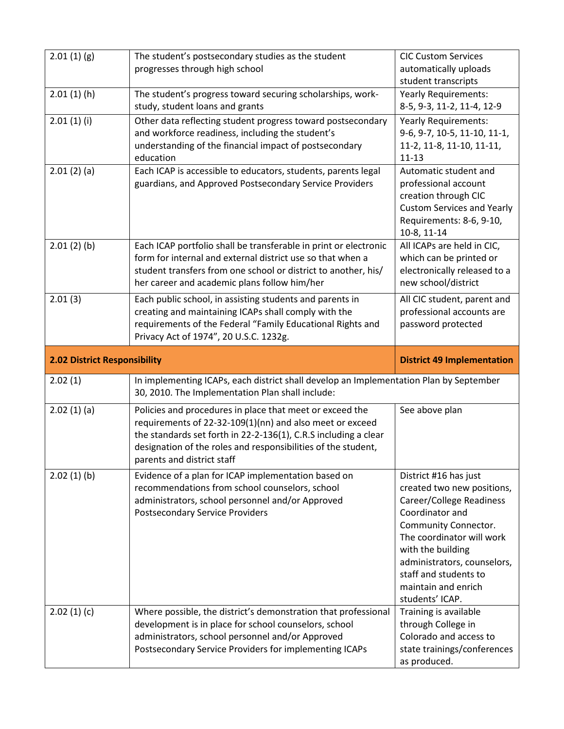| 2.01(1)(g)                          | The student's postsecondary studies as the student<br>progresses through high school                                                                                                                                                                                                   | <b>CIC Custom Services</b><br>automatically uploads                                                                                                                                                                                                                            |
|-------------------------------------|----------------------------------------------------------------------------------------------------------------------------------------------------------------------------------------------------------------------------------------------------------------------------------------|--------------------------------------------------------------------------------------------------------------------------------------------------------------------------------------------------------------------------------------------------------------------------------|
|                                     |                                                                                                                                                                                                                                                                                        | student transcripts                                                                                                                                                                                                                                                            |
| 2.01(1)(h)                          | The student's progress toward securing scholarships, work-<br>study, student loans and grants                                                                                                                                                                                          | <b>Yearly Requirements:</b><br>8-5, 9-3, 11-2, 11-4, 12-9                                                                                                                                                                                                                      |
| 2.01(1)(i)                          | Other data reflecting student progress toward postsecondary<br>and workforce readiness, including the student's<br>understanding of the financial impact of postsecondary<br>education                                                                                                 | Yearly Requirements:<br>9-6, 9-7, 10-5, 11-10, 11-1,<br>11-2, 11-8, 11-10, 11-11,<br>$11 - 13$                                                                                                                                                                                 |
| 2.01(2)(a)                          | Each ICAP is accessible to educators, students, parents legal<br>guardians, and Approved Postsecondary Service Providers                                                                                                                                                               | Automatic student and<br>professional account<br>creation through CIC<br><b>Custom Services and Yearly</b><br>Requirements: 8-6, 9-10,<br>10-8, 11-14                                                                                                                          |
| 2.01(2)(b)                          | Each ICAP portfolio shall be transferable in print or electronic<br>form for internal and external district use so that when a<br>student transfers from one school or district to another, his/<br>her career and academic plans follow him/her                                       | All ICAPs are held in CIC,<br>which can be printed or<br>electronically released to a<br>new school/district                                                                                                                                                                   |
| 2.01(3)                             | Each public school, in assisting students and parents in<br>creating and maintaining ICAPs shall comply with the<br>requirements of the Federal "Family Educational Rights and<br>Privacy Act of 1974", 20 U.S.C. 1232g.                                                               | All CIC student, parent and<br>professional accounts are<br>password protected                                                                                                                                                                                                 |
|                                     |                                                                                                                                                                                                                                                                                        |                                                                                                                                                                                                                                                                                |
| <b>2.02 District Responsibility</b> |                                                                                                                                                                                                                                                                                        | <b>District 49 Implementation</b>                                                                                                                                                                                                                                              |
| 2.02(1)                             | In implementing ICAPs, each district shall develop an Implementation Plan by September<br>30, 2010. The Implementation Plan shall include:                                                                                                                                             |                                                                                                                                                                                                                                                                                |
| 2.02(1)(a)                          | Policies and procedures in place that meet or exceed the<br>requirements of 22-32-109(1)(nn) and also meet or exceed<br>the standards set forth in 22-2-136(1), C.R.S including a clear<br>designation of the roles and responsibilities of the student,<br>parents and district staff | See above plan                                                                                                                                                                                                                                                                 |
| 2.02(1)(b)                          | Evidence of a plan for ICAP implementation based on<br>recommendations from school counselors, school<br>administrators, school personnel and/or Approved<br><b>Postsecondary Service Providers</b>                                                                                    | District #16 has just<br>created two new positions,<br>Career/College Readiness<br>Coordinator and<br>Community Connector.<br>The coordinator will work<br>with the building<br>administrators, counselors,<br>staff and students to<br>maintain and enrich<br>students' ICAP. |